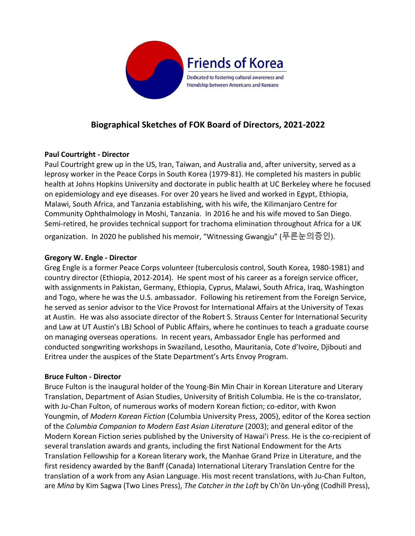

# **Biographical Sketches of FOK Board of Directors, 2021-2022**

# **Paul Courtright - Director**

Paul Courtright grew up in the US, Iran, Taiwan, and Australia and, after university, served as a leprosy worker in the Peace Corps in South Korea (1979-81). He completed his masters in public health at Johns Hopkins University and doctorate in public health at UC Berkeley where he focused on epidemiology and eye diseases. For over 20 years he lived and worked in Egypt, Ethiopia, Malawi, South Africa, and Tanzania establishing, with his wife, the Kilimanjaro Centre for Community Ophthalmology in Moshi, Tanzania. In 2016 he and his wife moved to San Diego. Semi-retired, he provides technical support for trachoma elimination throughout Africa for a UK organization. In 2020 he published his memoir, "Witnessing Gwangju" (푸른눈의증인).

#### **Gregory W. Engle - Director**

Greg Engle is a former Peace Corps volunteer (tuberculosis control, South Korea, 1980-1981) and country director (Ethiopia, 2012-2014). He spent most of his career as a foreign service officer, with assignments in Pakistan, Germany, Ethiopia, Cyprus, Malawi, South Africa, Iraq, Washington and Togo, where he was the U.S. ambassador. Following his retirement from the Foreign Service, he served as senior advisor to the Vice Provost for International Affairs at the University of Texas at Austin. He was also associate director of the Robert S. Strauss Center for International Security and Law at UT Austin's LBJ School of Public Affairs, where he continues to teach a graduate course on managing overseas operations. In recent years, Ambassador Engle has performed and conducted songwriting workshops in Swaziland, Lesotho, Mauritania, Cote d'Ivoire, Djibouti and Eritrea under the auspices of the State Department's Arts Envoy Program.

#### **Bruce Fulton - Director**

Bruce Fulton is the inaugural holder of the Young-Bin Min Chair in Korean Literature and Literary Translation, Department of Asian Studies, University of British Columbia. He is the co-translator, with Ju-Chan Fulton, of numerous works of modern Korean fiction; co-editor, with Kwon Youngmin, of *Modern Korean Fiction* (Columbia University Press, 2005), editor of the Korea section of the *Columbia Companion to Modern East Asian Literature* (2003); and general editor of the Modern Korean Fiction series published by the University of Hawai'i Press. He is the co-recipient of several translation awards and grants, including the first National Endowment for the Arts Translation Fellowship for a Korean literary work, the Manhae Grand Prize in Literature, and the first residency awarded by the Banff (Canada) International Literary Translation Centre for the translation of a work from any Asian Language. His most recent translations, with Ju-Chan Fulton, are *Mina* by Kim Sagwa (Two Lines Press), *The Catcher in the Loft* by Ch'ŏn Un-yŏng (Codhill Press),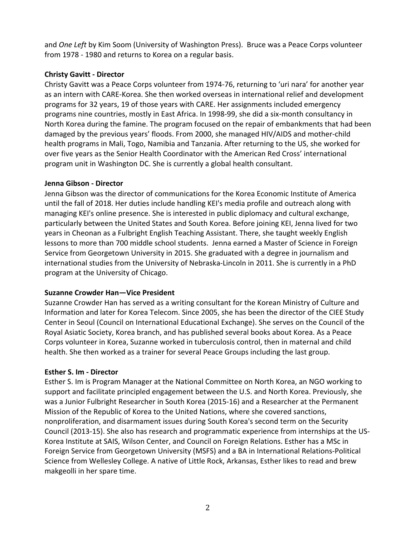and *One Left* by Kim Soom (University of Washington Press). Bruce was a Peace Corps volunteer from 1978 - 1980 and returns to Korea on a regular basis.

# **Christy Gavitt - Director**

Christy Gavitt was a Peace Corps volunteer from 1974-76, returning to 'uri nara' for another year as an intern with CARE-Korea. She then worked overseas in international relief and development programs for 32 years, 19 of those years with CARE. Her assignments included emergency programs nine countries, mostly in East Africa. In 1998-99, she did a six-month consultancy in North Korea during the famine. The program focused on the repair of embankments that had been damaged by the previous years' floods. From 2000, she managed HIV/AIDS and mother-child health programs in Mali, Togo, Namibia and Tanzania. After returning to the US, she worked for over five years as the Senior Health Coordinator with the American Red Cross' international program unit in Washington DC. She is currently a global health consultant.

# **Jenna Gibson - Director**

Jenna Gibson was the director of communications for the Korea Economic Institute of America until the fall of 2018. Her duties include handling KEI's media profile and outreach along with managing KEI's online presence. She is interested in public diplomacy and cultural exchange, particularly between the United States and South Korea. Before joining KEI, Jenna lived for two years in Cheonan as a Fulbright English Teaching Assistant. There, she taught weekly English lessons to more than 700 middle school students. Jenna earned a Master of Science in Foreign Service from Georgetown University in 2015. She graduated with a degree in journalism and international studies from the University of Nebraska-Lincoln in 2011. She is currently in a PhD program at the University of Chicago.

# **Suzanne Crowder Han—Vice President**

Suzanne Crowder Han has served as a writing consultant for the Korean Ministry of Culture and Information and later for Korea Telecom. Since 2005, she has been the director of the CIEE Study Center in Seoul (Council on International Educational Exchange). She serves on the Council of the Royal Asiatic Society, Korea branch, and has published several books about Korea. As a Peace Corps volunteer in Korea, Suzanne worked in tuberculosis control, then in maternal and child health. She then worked as a trainer for several Peace Groups including the last group.

# **Esther S. Im - Director**

Esther S. Im is Program Manager at the National Committee on North Korea, an NGO working to support and facilitate principled engagement between the U.S. and North Korea. Previously, she was a Junior Fulbright Researcher in South Korea (2015-16) and a Researcher at the Permanent Mission of the Republic of Korea to the United Nations, where she covered sanctions, nonproliferation, and disarmament issues during South Korea's second term on the Security Council (2013-15). She also has research and programmatic experience from internships at the US-Korea Institute at SAIS, Wilson Center, and Council on Foreign Relations. Esther has a MSc in Foreign Service from Georgetown University (MSFS) and a BA in International Relations-Political Science from Wellesley College. A native of Little Rock, Arkansas, Esther likes to read and brew makgeolli in her spare time.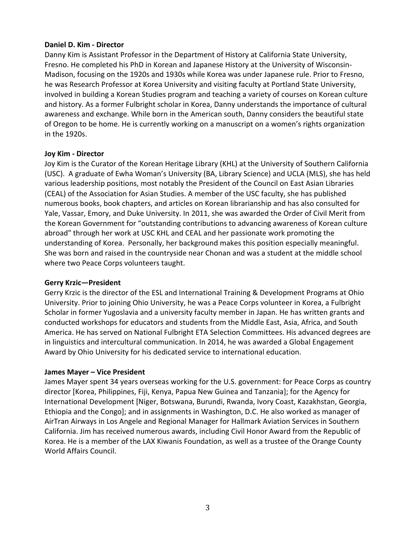# **Daniel D. Kim - Director**

Danny Kim is Assistant Professor in the Department of History at California State University, Fresno. He completed his PhD in Korean and Japanese History at the University of Wisconsin-Madison, focusing on the 1920s and 1930s while Korea was under Japanese rule. Prior to Fresno, he was Research Professor at Korea University and visiting faculty at Portland State University, involved in building a Korean Studies program and teaching a variety of courses on Korean culture and history. As a former Fulbright scholar in Korea, Danny understands the importance of cultural awareness and exchange. While born in the American south, Danny considers the beautiful state of Oregon to be home. He is currently working on a manuscript on a women's rights organization in the 1920s.

# **Joy Kim - Director**

Joy Kim is the Curator of the Korean Heritage Library (KHL) at the University of Southern California (USC). A graduate of Ewha Woman's University (BA, Library Science) and UCLA (MLS), she has held various leadership positions, most notably the President of the Council on East Asian Libraries (CEAL) of the Association for Asian Studies. A member of the USC faculty, she has published numerous books, book chapters, and articles on Korean librarianship and has also consulted for Yale, Vassar, Emory, and Duke University. In 2011, she was awarded the Order of Civil Merit from the Korean Government for "outstanding contributions to advancing awareness of Korean culture abroad" through her work at USC KHL and CEAL and her passionate work promoting the understanding of Korea. Personally, her background makes this position especially meaningful. She was born and raised in the countryside near Chonan and was a student at the middle school where two Peace Corps volunteers taught.

#### **Gerry Krzic—President**

Gerry Krzic is the director of the ESL and International Training & Development Programs at Ohio University. Prior to joining Ohio University, he was a Peace Corps volunteer in Korea, a Fulbright Scholar in former Yugoslavia and a university faculty member in Japan. He has written grants and conducted workshops for educators and students from the Middle East, Asia, Africa, and South America. He has served on National Fulbright ETA Selection Committees. His advanced degrees are in linguistics and intercultural communication. In 2014, he was awarded a Global Engagement Award by Ohio University for his dedicated service to international education.

#### **James Mayer – Vice President**

James Mayer spent 34 years overseas working for the U.S. government: for Peace Corps as country director [Korea, Philippines, Fiji, Kenya, Papua New Guinea and Tanzania]; for the Agency for International Development [Niger, Botswana, Burundi, Rwanda, Ivory Coast, Kazakhstan, Georgia, Ethiopia and the Congo]; and in assignments in Washington, D.C. He also worked as manager of AirTran Airways in Los Angele and Regional Manager for Hallmark Aviation Services in Southern California. Jim has received numerous awards, including Civil Honor Award from the Republic of Korea. He is a member of the LAX Kiwanis Foundation, as well as a trustee of the Orange County World Affairs Council.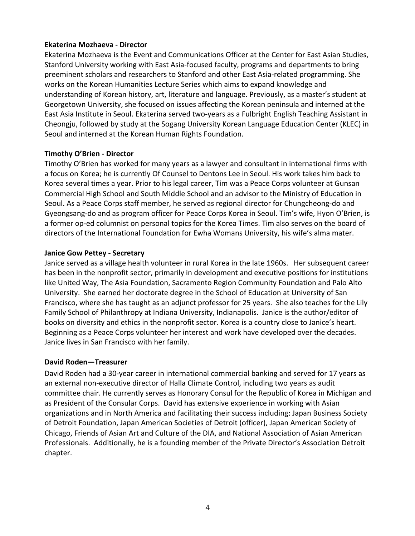# **Ekaterina Mozhaeva - Director**

Ekaterina Mozhaeva is the Event and Communications Officer at the Center for East Asian Studies, Stanford University working with East Asia-focused faculty, programs and departments to bring preeminent scholars and researchers to Stanford and other East Asia-related programming. She works on the Korean Humanities Lecture Series which aims to expand knowledge and understanding of Korean history, art, literature and language. Previously, as a master's student at Georgetown University, she focused on issues affecting the Korean peninsula and interned at the East Asia Institute in Seoul. Ekaterina served two-years as a Fulbright English Teaching Assistant in Cheongju, followed by study at the Sogang University Korean Language Education Center (KLEC) in Seoul and interned at the Korean Human Rights Foundation.

# **Timothy O'Brien - Director**

Timothy O'Brien has worked for many years as a lawyer and consultant in international firms with a focus on Korea; he is currently Of Counsel to Dentons Lee in Seoul. His work takes him back to Korea several times a year. Prior to his legal career, Tim was a Peace Corps volunteer at Gunsan Commercial High School and South Middle School and an advisor to the Ministry of Education in Seoul. As a Peace Corps staff member, he served as regional director for Chungcheong-do and Gyeongsang-do and as program officer for Peace Corps Korea in Seoul. Tim's wife, Hyon O'Brien, is a former op-ed columnist on personal topics for the Korea Times. Tim also serves on the board of directors of the International Foundation for Ewha Womans University, his wife's alma mater.

# **Janice Gow Pettey - Secretary**

Janice served as a village health volunteer in rural Korea in the late 1960s. Her subsequent career has been in the nonprofit sector, primarily in development and executive positions for institutions like United Way, The Asia Foundation, Sacramento Region Community Foundation and Palo Alto University. She earned her doctorate degree in the School of Education at University of San Francisco, where she has taught as an adjunct professor for 25 years. She also teaches for the Lily Family School of Philanthropy at Indiana University, Indianapolis. Janice is the author/editor of books on diversity and ethics in the nonprofit sector. Korea is a country close to Janice's heart. Beginning as a Peace Corps volunteer her interest and work have developed over the decades. Janice lives in San Francisco with her family.

#### **David Roden—Treasurer**

David Roden had a 30-year career in international commercial banking and served for 17 years as an external non-executive director of Halla Climate Control, including two years as audit committee chair. He currently serves as Honorary Consul for the Republic of Korea in Michigan and as President of the Consular Corps. David has extensive experience in working with Asian organizations and in North America and facilitating their success including: Japan Business Society of Detroit Foundation, Japan American Societies of Detroit (officer), Japan American Society of Chicago, Friends of Asian Art and Culture of the DIA, and National Association of Asian American Professionals. Additionally, he is a founding member of the Private Director's Association Detroit chapter.